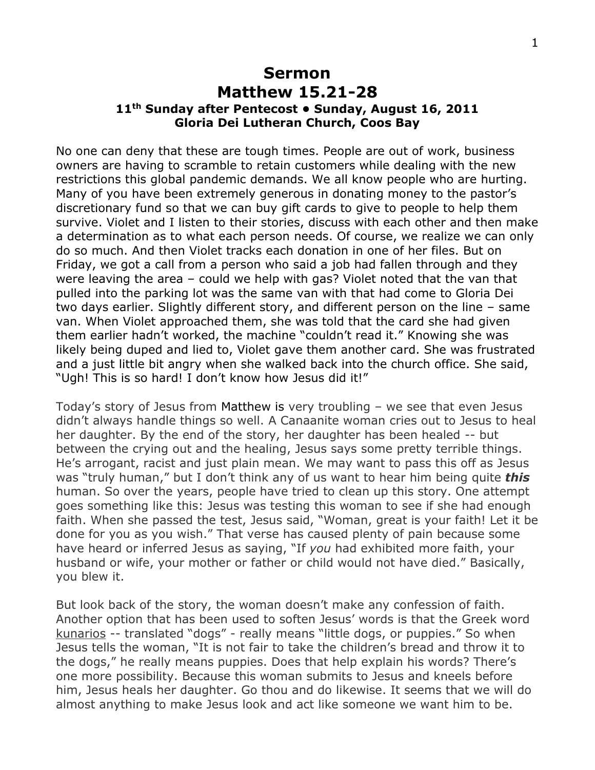## **Sermon Matthew 15.21-28 11th Sunday after Pentecost • Sunday, August 16, 2011 Gloria Dei Lutheran Church, Coos Bay**

No one can deny that these are tough times. People are out of work, business owners are having to scramble to retain customers while dealing with the new restrictions this global pandemic demands. We all know people who are hurting. Many of you have been extremely generous in donating money to the pastor's discretionary fund so that we can buy gift cards to give to people to help them survive. Violet and I listen to their stories, discuss with each other and then make a determination as to what each person needs. Of course, we realize we can only do so much. And then Violet tracks each donation in one of her files. But on Friday, we got a call from a person who said a job had fallen through and they were leaving the area – could we help with gas? Violet noted that the van that pulled into the parking lot was the same van with that had come to Gloria Dei two days earlier. Slightly different story, and different person on the line – same van. When Violet approached them, she was told that the card she had given them earlier hadn't worked, the machine "couldn't read it." Knowing she was likely being duped and lied to, Violet gave them another card. She was frustrated and a just little bit angry when she walked back into the church office. She said, "Ugh! This is so hard! I don't know how Jesus did it!"

Today's story of Jesus from [Matthew i](http://bible.oremus.org/?ql=179566444)s very troubling – we see that even Jesus didn't always handle things so well. A Canaanite woman cries out to Jesus to heal her daughter. By the end of the story, her daughter has been healed -- but between the crying out and the healing, Jesus says some pretty terrible things. He's arrogant, racist and just plain mean. We may want to pass this off as Jesus was "truly human," but I don't think any of us want to hear him being quite *this* human. So over the years, people have tried to clean up this story. One attempt goes something like this: Jesus was testing this woman to see if she had enough faith. When she passed the test, Jesus said, "Woman, great is your faith! Let it be done for you as you wish." That verse has caused plenty of pain because some have heard or inferred Jesus as saying, "If *you* had exhibited more faith, your husband or wife, your mother or father or child would not have died." Basically, you blew it.

But look back of the story, the woman doesn't make any confession of faith. Another option that has been used to soften Jesus' words is that the Greek word kunarios -- translated "dogs" - really means "little dogs, or puppies." So when Jesus tells the woman, "It is not fair to take the children's bread and throw it to the dogs," he really means puppies. Does that help explain his words? There's one more possibility. Because this woman submits to Jesus and kneels before him, Jesus heals her daughter. Go thou and do likewise. It seems that we will do almost anything to make Jesus look and act like someone we want him to be.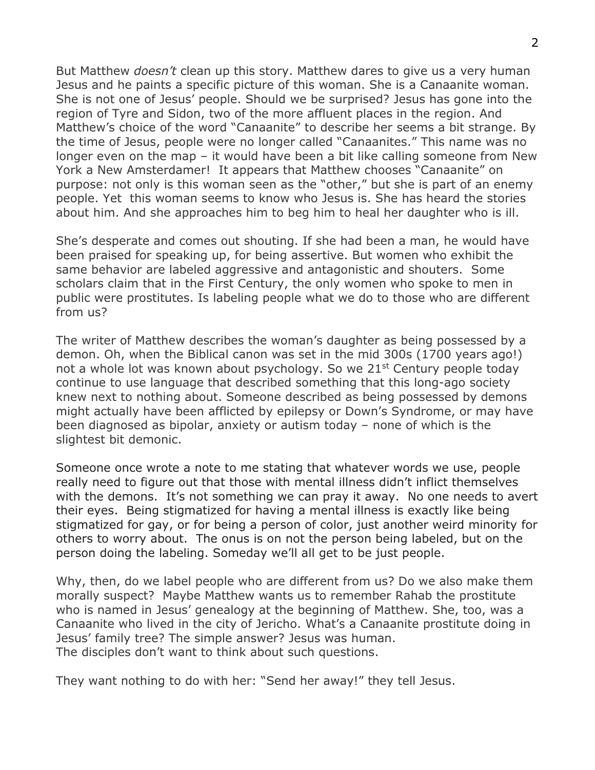But Matthew *doesn't* clean up this story. Matthew dares to give us a very human Jesus and he paints a specific picture of this woman. She is a Canaanite woman. She is not one of Jesus' people. Should we be surprised? Jesus has gone into the region of Tyre and Sidon, two of the more affluent places in the region. And Matthew's choice of the word "Canaanite" to describe her seems a bit strange. By the time of Jesus, people were no longer called "Canaanites." This name was no longer even on the map – it would have been a bit like calling someone from New York a New Amsterdamer! It appears that Matthew chooses "Canaanite" on purpose: not only is this woman seen as the "other," but she is part of an enemy people. Yet this woman seems to know who Jesus is. She has heard the stories about him. And she approaches him to beg him to heal her daughter who is ill.

She's desperate and comes out shouting. If she had been a man, he would have been praised for speaking up, for being assertive. But women who exhibit the same behavior are labeled aggressive and antagonistic and shouters. Some scholars claim that in the First Century, the only women who spoke to men in public were prostitutes. Is labeling people what we do to those who are different from us?

The writer of Matthew describes the woman's daughter as being possessed by a demon. Oh, when the Biblical canon was set in the mid 300s (1700 years ago!) not a whole lot was known about psychology. So we 21<sup>st</sup> Century people today continue to use language that described something that this long-ago society knew next to nothing about. Someone described as being possessed by demons might actually have been afflicted by epilepsy or Down's Syndrome, or may have been diagnosed as bipolar, anxiety or autism today – none of which is the slightest bit demonic.

Someone once wrote a note to me stating that whatever words we use, people really need to figure out that those with mental illness didn't inflict themselves with the demons. It's not something we can pray it away. No one needs to avert their eyes. Being stigmatized for having a mental illness is exactly like being stigmatized for gay, or for being a person of color, just another weird minority for others to worry about. The onus is on not the person being labeled, but on the person doing the labeling. Someday we'll all get to be just people.

Why, then, do we label people who are different from us? Do we also make them morally suspect? Maybe Matthew wants us to remember Rahab the prostitute who is named in Jesus' genealogy at the beginning of Matthew. She, too, was a Canaanite who lived in the city of Jericho. What's a Canaanite prostitute doing in Jesus' family tree? The simple answer? Jesus was human. The disciples don't want to think about such questions.

They want nothing to do with her: "Send her away!" they tell Jesus.